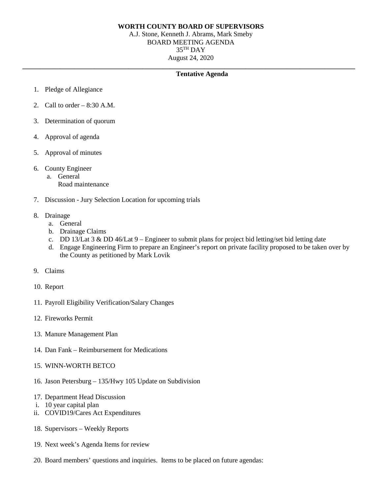## **WORTH COUNTY BOARD OF SUPERVISORS**

A.J. Stone, Kenneth J. Abrams, Mark Smeby BOARD MEETING AGENDA 35TH DAY August 24, 2020

## **\_\_\_\_\_\_\_\_\_\_\_\_\_\_\_\_\_\_\_\_\_\_\_\_\_\_\_\_\_\_\_\_\_\_\_\_\_\_\_\_\_\_\_\_\_\_\_\_\_\_\_\_\_\_\_\_\_\_\_\_\_\_\_\_\_\_\_\_\_\_\_\_\_\_\_\_\_\_\_\_\_\_\_\_\_\_\_\_\_\_\_\_\_\_\_\_\_ Tentative Agenda**

- 1. Pledge of Allegiance
- 2. Call to order  $-8:30$  A.M.
- 3. Determination of quorum
- 4. Approval of agenda
- 5. Approval of minutes
- 6. County Engineer
	- a. General
		- Road maintenance
- 7. Discussion Jury Selection Location for upcoming trials
- 8. Drainage
	- a. General
	- b. Drainage Claims
	- c. DD 13/Lat  $3 \&$  DD 46/Lat  $9$  Engineer to submit plans for project bid letting/set bid letting date
	- d. Engage Engineering Firm to prepare an Engineer's report on private facility proposed to be taken over by the County as petitioned by Mark Lovik
- 9. Claims
- 10. Report
- 11. Payroll Eligibility Verification/Salary Changes
- 12. Fireworks Permit
- 13. Manure Management Plan
- 14. Dan Fank Reimbursement for Medications
- 15. WINN-WORTH BETCO
- 16. Jason Petersburg 135/Hwy 105 Update on Subdivision
- 17. Department Head Discussion
- i. 10 year capital plan
- ii. COVID19/Cares Act Expenditures
- 18. Supervisors Weekly Reports
- 19. Next week's Agenda Items for review
- 20. Board members' questions and inquiries. Items to be placed on future agendas: